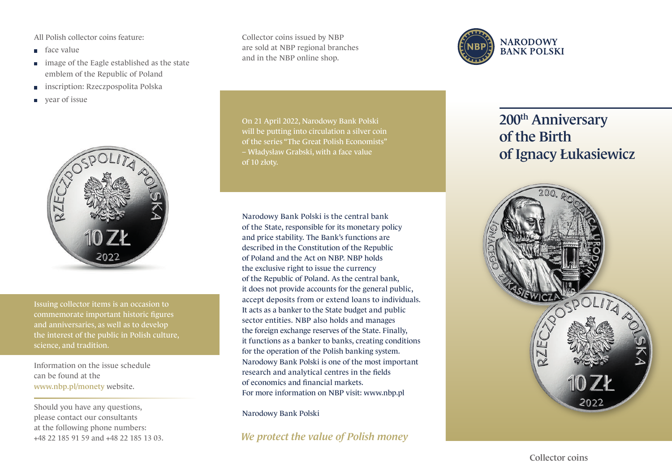All Polish collector coins feature:

- face value
- **image of the Eagle established as the state** emblem of the Republic of Poland
- inscription: Rzeczpospolita Polska  $\Box$
- year of issue



Issuing collector items is an occasion to commemorate important historic figures and anniversaries, as well as to develop the interest of the public in Polish culture, science, and tradition.

Information on the issue schedule can be found at the www.nbp.pl/monety website.

Should you have any questions, please contact our consultants at the following phone numbers: +48 22 185 91 59 and +48 22 185 13 03. Collector coins issued by NBP are sold at NBP regional branches and in the NBP online shop.

On 21 April 2022, Narodowy Bank Polski will be putting into circulation a silver coin of the series "The Great Polish Economists" – Władysław Grabski, with a face value of 10 złoty.

Narodowy Bank Polski is the central bank of the State, responsible for its monetary policy and price stability. The Bank's functions are described in the Constitution of the Republic of Poland and the Act on NBP. NBP holds the exclusive right to issue the currency of the Republic of Poland. As the central bank, it does not provide accounts for the general public, accept deposits from or extend loans to individuals. It acts as a banker to the State budget and public sector entities. NBP also holds and manages the foreign exchange reserves of the State. Finally, it functions as a banker to banks, creating conditions for the operation of the Polish banking system. Narodowy Bank Polski is one of the most important research and analytical centres in the fields of economics and financial markets. For more information on NBP visit: www.nbp.pl

Narodowy Bank Polski

*We protect the value of Polish money*



## 200<sup>th</sup> Anniversary of the Birth of Ignacy Łukasiewicz